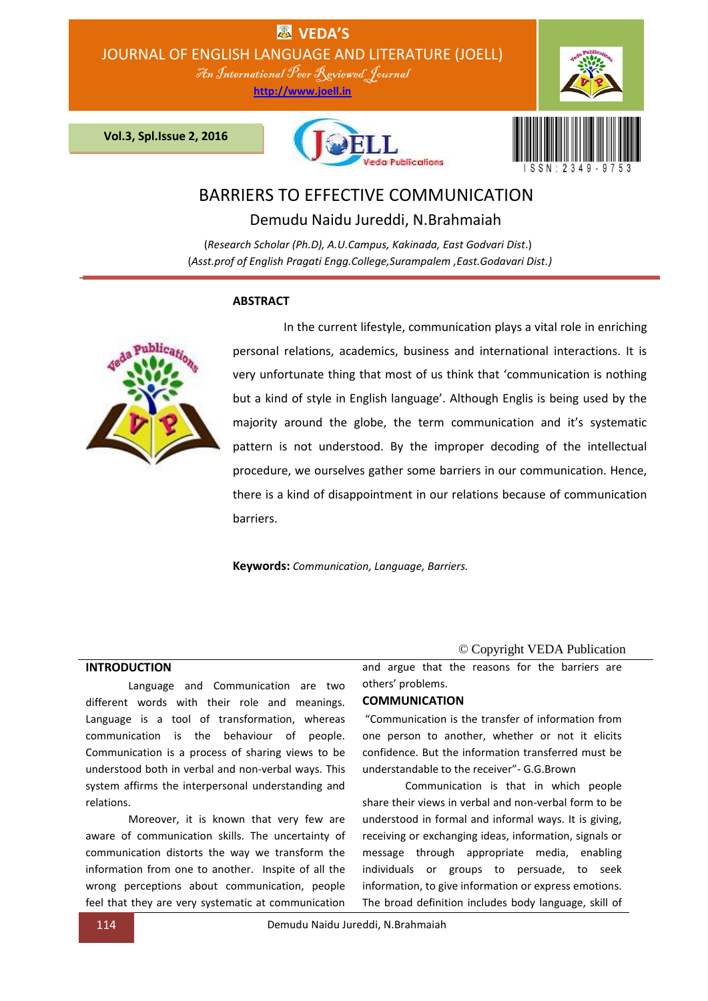**EN VEDA'S** JOURNAL OF ENGLISH LANGUAGE AND LITERATURE (JOELL)

An International Peer Reviewed Journal

**http://www.joell.in**

 **Vol.3, Spl.Issue 2, 2016**





# BARRIERS TO EFFECTIVE COMMUNICATION

Demudu Naidu Jureddi, N.Brahmaiah

(*Research Scholar (Ph.D), A.U.Campus, Kakinada, East Godvari Dist*.) (*Asst.prof of English Pragati Engg.College,Surampalem ,East.Godavari Dist.)*

# **ABSTRACT**



 In the current lifestyle, communication plays a vital role in enriching personal relations, academics, business and international interactions. It is very unfortunate thing that most of us think that 'communication is nothing but a kind of style in English language'. Although Englis is being used by the majority around the globe, the term communication and it's systematic pattern is not understood. By the improper decoding of the intellectual procedure, we ourselves gather some barriers in our communication. Hence, there is a kind of disappointment in our relations because of communication barriers.

**Keywords:** *Communication, Language, Barriers.*

# **INTRODUCTION**

Language and Communication are two different words with their role and meanings. Language is a tool of transformation, whereas communication is the behaviour of people. Communication is a process of sharing views to be understood both in verbal and non-verbal ways. This system affirms the interpersonal understanding and relations.

Moreover, it is known that very few are aware of communication skills. The uncertainty of communication distorts the way we transform the information from one to another. Inspite of all the wrong perceptions about communication, people feel that they are very systematic at communication

# © Copyright VEDA Publication

and argue that the reasons for the barriers are others' problems.

#### **COMMUNICATION**

"Communication is the transfer of information from one person to another, whether or not it elicits confidence. But the information transferred must be understandable to the receiver"- G.G.Brown

Communication is that in which people share their views in verbal and non-verbal form to be understood in formal and informal ways. It is giving, receiving or exchanging ideas, information, signals or message through appropriate media, enabling individuals or groups to persuade, to seek information, to give information or express emotions. The broad definition includes body language, skill of